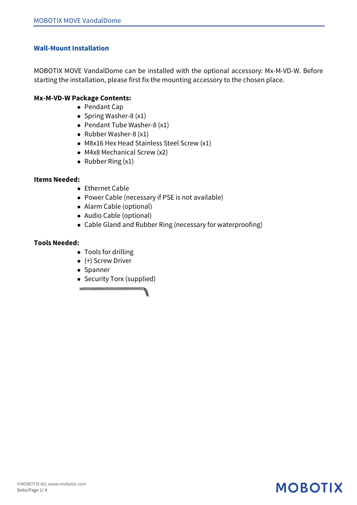### **Wall-Mount Installation**

MOBOTIX MOVE VandalDome can be installed with the optional accessory: Mx-M-VD-W. Before starting the installation, please first fix the mounting accessory to the chosen place.

#### **Mx-M-VD-W Package Contents:**

- Pendant Cap
- Spring Washer-8  $(x1)$
- Pendant Tube Washer-8  $(x1)$
- Rubber Washer-8  $(x1)$
- M8x16 Hex Head Stainless Steel Screw  $(x1)$
- $\bullet$  M4x8 Mechanical Screw (x2)
- $\bullet$  Rubber Ring (x1)

#### **Items Needed:**

- $\bullet$  Ethernet Cable
- Power Cable (necessary if PSE is not available)
- Alarm Cable (optional)
- Audio Cable (optional)
- Cable Gland and Rubber Ring (necessary for waterproofing)

#### **Tools Needed:**

- Tools for drilling
- $\bullet$  (+) Screw Driver
- Spanner
- Security Torx (supplied)

## **MOBOTIX**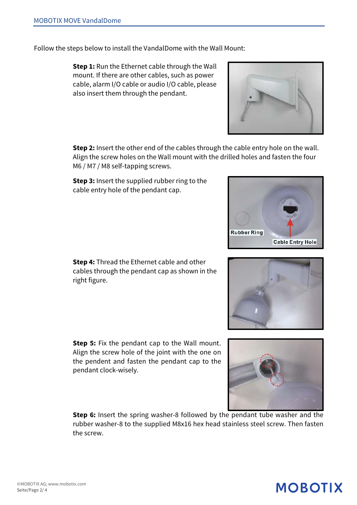©MOBOTIX AG; www.mobotix.com Seite/Page 2/ 4

Follow the steps below to install the VandalDome with the Wall Mount:

**Step 1:** Run the Ethernet cable through the Wall mount. If there are other cables, such as power cable, alarm I/O cable or audio I/O cable, please also insert them through the pendant.

**Step 2:** Insert the other end of the cables through the cable entry hole on the wall. Align the screw holes on the Wall mount with the drilled holes and fasten the four M6 / M7 / M8 self-tapping screws.

**Step 3:** Insert the supplied rubber ring to the cable entry hole of the pendant cap.

**Step 4:** Thread the Ethernet cable and other cables through the pendant cap as shown in the right figure.

**Step 5:** Fix the pendant cap to the Wall mount. Align the screw hole of the joint with the one on the pendent and fasten the pendant cap to the pendant clock-wisely.

**Step 6:** Insert the spring washer-8 followed by the pendant tube washer and the rubber washer-8 to the supplied M8x16 hex head stainless steel screw. Then fasten the screw.



**Cable Entry Hole** 

**Rubber Ring** 





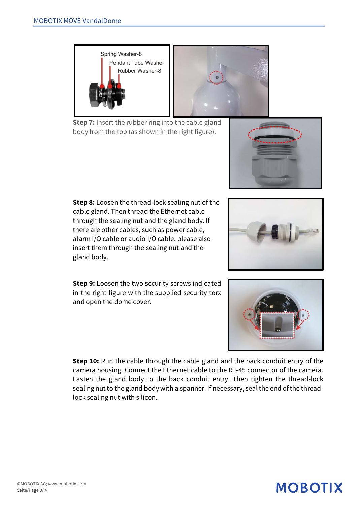**Step 8:** Loosen the thread-lock sealing nut of the cable gland. Then thread the Ethernet cable through the sealing nut and the gland body. If there are other cables, such as power cable, alarm I/O cable or audio I/O cable, please also insert them through the sealing nut and the gland body.

**Step 9:** Loosen the two security screws indicated in the right figure with the supplied security torx and open the dome cover.

**Step 10:** Run the cable through the cable gland and the back conduit entry of the camera housing. Connect the Ethernet cable to the RJ-45 connector of the camera. Fasten the gland body to the back conduit entry. Then tighten the thread-lock sealing nut to the gland body with a spanner. If necessary, seal the end of the threadlock sealing nut with silicon.





**MOBOTIX**